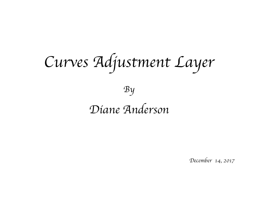*Curves Adjustment Layer*

#### *Diane Anderson*

*By*

*December 14, 2017*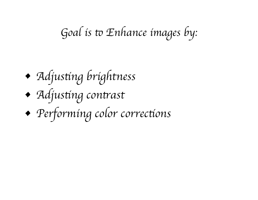# Goal is to Enhance images by:

# *• Adjus*t*ng brightness*

- *• Adjus*t*ng con*t*ast*
- *• Performing color correc*t*ons*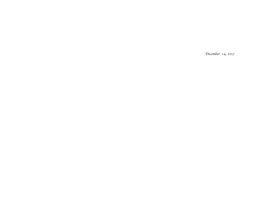*December 14, 2017*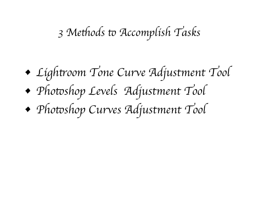### *3 Me*t*ods* t *Accomplish Tasks*

- *• Ligh*t*oom Tone Curve Adjustment Tool*
- *• Pho*t*shop Levels Adjustment Tool*
- *• Pho*t*shop Curves Adjustment Tool*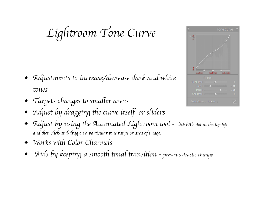*Ligh*t*oom Tone Curve*

- *Adjustments to increase/decrease dark and white* t*nes*
- *Targets changes to smaller areas*
- *Adjust by dragging the curve itself or sliders*
- *Adjust by using the Automated Lightroom tool click little dot at the top left and* t*en click-and-drag on a par*t*cular* t*ne range or area of image.*
- *Works with Color Channels*
- *Aids by keeping a smooth tonal transition prevents drastic change*

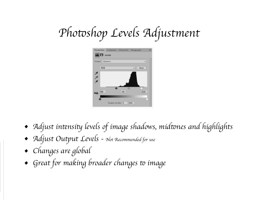# *Pho*t*shop Levels Adjustment*



- *• Adjust in*t*nsi*t *levels of image shadows, mid*t*nes and highlights*
- *• Adjust Output Levels Not Recommended for use*
- *• Changes are global*
- Great for making broader changes to image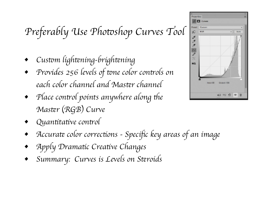### *Preferably Use Pho*t*shop Curves Tool*

- *• Cus*t*m ligh*t*ning-brigh*t*ning*
- *• Provides 256 levels of* t*ne color con*t*ols on each color channel and Mas*t*r channel*
- *Place control points anywhere along the Mas*t*r* (*RGB*) *Curve*
- *• Quan*t*ta*t*ve con*t*ol*
- *• Accura*t *color correc*t*ons Speci*fi*c key areas of an image*
- *• Apply Drama*t*c Crea*t*ve Changes*
- *• Summary: Curves is Levels on S*t*roids*